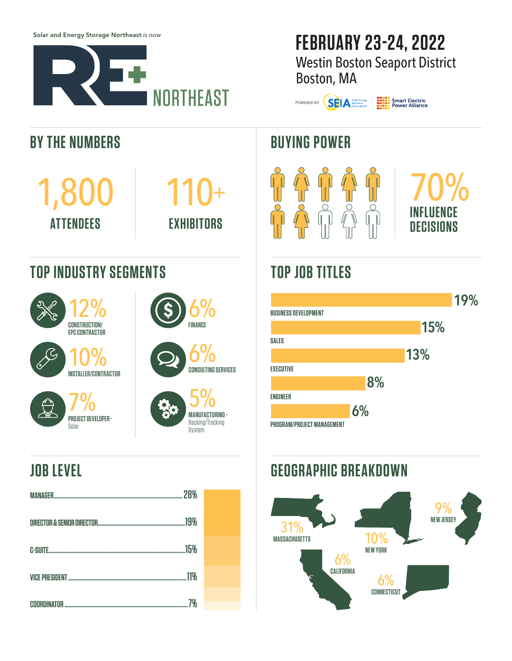Solar and Energy Storage Northeast *is now*

**TOP INDUSTRY SEGMENTS**

12% **CONSTRUCTION/ EPC CONTRACTOR**

10% **INSTALLER/CONTRACTOR**

7%

**PROJECT DEVELOPER -** Solar

**BY THE NUMBERS**

1,800

**ATTENDEES**



110+

**EXHIBITORS**

6%

**FINANCE**

6%

5% **MANUFACTURING -**  Racking/Tracking System

**CONSULTING SERVICES**

# **FEBRUARY 23-24, 2022** Westin Boston Seaport District

Boston, MA

POWERED BY **SELA** Solar Energy

**HILL** Smart Electric<br> **HILL** Power Alliance

### **BUYING POWER**



# **TOP JOB TITLES**



### **JOB LEVEL**

| 28%                   |  |
|-----------------------|--|
| 19%                   |  |
| 15%<br><b>C-SUITE</b> |  |
| 11%                   |  |
|                       |  |

#### **GEOGRAPHIC BREAKDOWN**